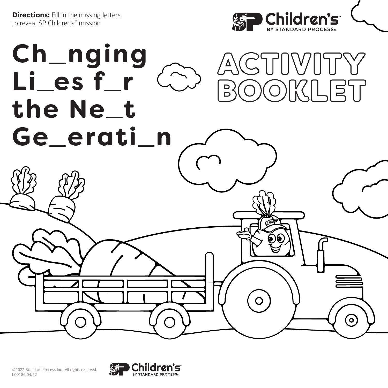**Directions:** Fill in the missing letters to reveal SP Children's™ mission.





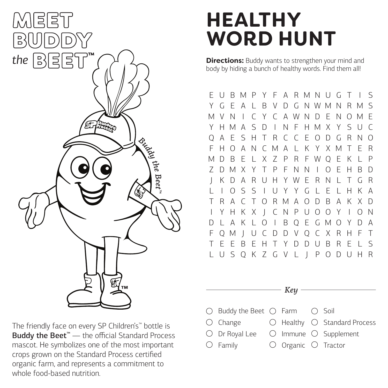

The friendly face on every SP Children's™ bottle is Buddy the Beet<sup>™</sup> — the official Standard Process mascot. He symbolizes one of the most important crops grown on the Standard Process certified organic farm, and represents a commitment to whole food-based nutrition.

## **HEALTHY WORD HUNT**

**Directions:** Buddy wants to strengthen your mind and body by hiding a bunch of healthy words. Find them all!

E U B M P Y F A R M N U G T I S Y G E A L B V D G N W M N R M S M V N I C Y C A W N D E N O M E Y H M A S D I N F H M X Y S U C Q A E S H T R C C E O D G R N O F H O A N C M A L K Y X M T E R M D B E L X Z P R F W Q E K L P Z D M X Y T P F N N I O E H B D J K D A R U H Y W E R N L T G R L I O S S I U Y Y G L E L H K A T R A C T O R M A O D B A K X D I Y H K X J C N P U O O Y I O N D L A K L O I B Q E G M O Y D A F Q M J U C D D V Q C X R H F T E E B E H T Y D D U B R E L L U S Q K Z G V L J P O D U H R

- Key -

- Buddy the Beet  $\bigcirc$  Farm  $\bigcirc$  Soil
- $O$  Change Healthy Standard Process
- Dr Royal Lee
- $\bigcirc$  Family
- Immune Supplement Organic Tractor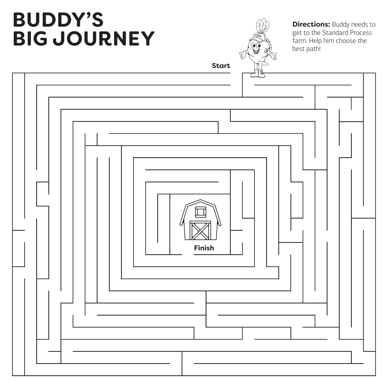## **BUDDY'S BIG JOURNEY**



**Directions: Buddy needs to** get to the Standard Process farm. Help him choose the best path!

**Start**